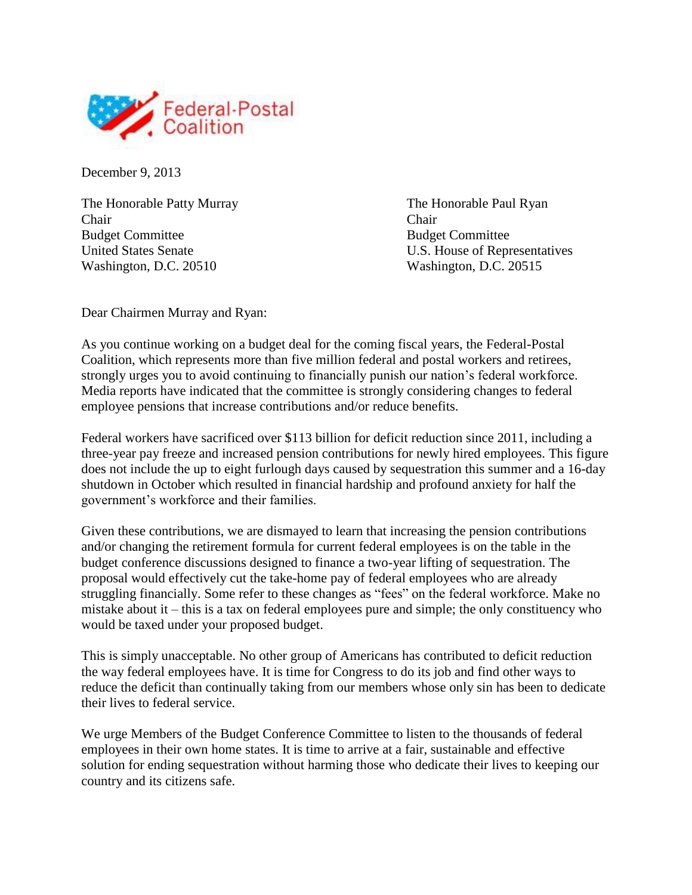

December 9, 2013

The Honorable Patty Murray The Honorable Paul Ryan Chair Chair Budget Committee Budget Committee Washington, D.C. 20510 Washington, D.C. 20515

United States Senate U.S. House of Representatives

Dear Chairmen Murray and Ryan:

As you continue working on a budget deal for the coming fiscal years, the Federal-Postal Coalition, which represents more than five million federal and postal workers and retirees, strongly urges you to avoid continuing to financially punish our nation's federal workforce. Media reports have indicated that the committee is strongly considering changes to federal employee pensions that increase contributions and/or reduce benefits.

Federal workers have sacrificed over \$113 billion for deficit reduction since 2011, including a three-year pay freeze and increased pension contributions for newly hired employees. This figure does not include the up to eight furlough days caused by sequestration this summer and a 16-day shutdown in October which resulted in financial hardship and profound anxiety for half the government's workforce and their families.

Given these contributions, we are dismayed to learn that increasing the pension contributions and/or changing the retirement formula for current federal employees is on the table in the budget conference discussions designed to finance a two-year lifting of sequestration. The proposal would effectively cut the take-home pay of federal employees who are already struggling financially. Some refer to these changes as "fees" on the federal workforce. Make no mistake about it – this is a tax on federal employees pure and simple; the only constituency who would be taxed under your proposed budget.

This is simply unacceptable. No other group of Americans has contributed to deficit reduction the way federal employees have. It is time for Congress to do its job and find other ways to reduce the deficit than continually taking from our members whose only sin has been to dedicate their lives to federal service.

We urge Members of the Budget Conference Committee to listen to the thousands of federal employees in their own home states. It is time to arrive at a fair, sustainable and effective solution for ending sequestration without harming those who dedicate their lives to keeping our country and its citizens safe.